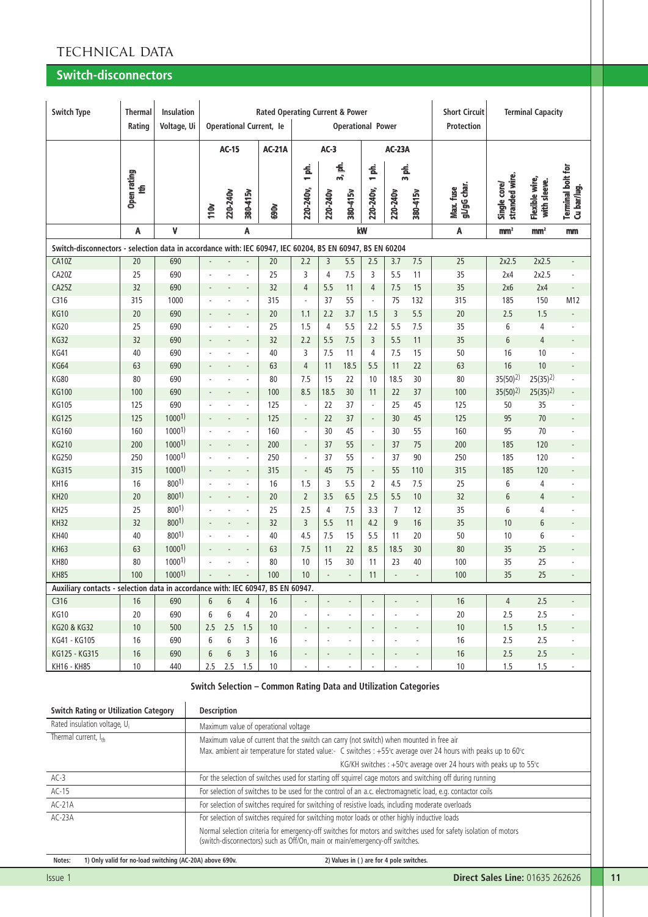# TECHNICAL DATA

## **Switch-disconnectors**

| <b>Switch Type</b>                                                                                       | <b>Thermal</b><br>Rating | <b>Insulation</b><br>Voltage, Ui |      |                  |                | <b>Rated Operating Current &amp; Power</b><br><b>Operational Current, le</b> |                          |                             |                          | <b>Operational Power</b> |                          |                          | <b>Short Circuit</b><br>Protection |                                | <b>Terminal Capacity</b>       |                                         |
|----------------------------------------------------------------------------------------------------------|--------------------------|----------------------------------|------|------------------|----------------|------------------------------------------------------------------------------|--------------------------|-----------------------------|--------------------------|--------------------------|--------------------------|--------------------------|------------------------------------|--------------------------------|--------------------------------|-----------------------------------------|
|                                                                                                          |                          |                                  |      | <b>AC-15</b>     |                | <b>AC-21A</b>                                                                |                          | $AC-3$                      |                          |                          | <b>AC-23A</b>            |                          |                                    |                                |                                |                                         |
|                                                                                                          | Open rating<br>₫         |                                  |      | 220-240v         | 380-415v       |                                                                              | 1 ph.<br>220-240v,       | 220-240v                    | 3, ph.<br>380-415v       | 意<br>÷<br>220-240v,      | 意<br>$\sim$<br>220-240v  | 380-415v                 | gL/gG char.<br>Max. fuse           | stranded wire.<br>Single core/ | Flexible wire,<br>with sleeve. | <b>Terminal bolt for</b><br>Cu bar/lug. |
|                                                                                                          |                          |                                  | 110v |                  |                | <b>SOO</b>                                                                   |                          |                             |                          |                          |                          |                          |                                    |                                |                                |                                         |
|                                                                                                          | A                        | ٧                                |      |                  | A              |                                                                              |                          |                             |                          | kW                       |                          |                          | A                                  | mm <sup>2</sup>                | mm <sup>2</sup>                | mm                                      |
| Switch-disconnectors - selection data in accordance with: IEC 60947, IEC 60204, BS EN 60947, BS EN 60204 |                          |                                  |      |                  |                |                                                                              |                          |                             |                          |                          |                          |                          |                                    |                                |                                |                                         |
| <b>CA10Z</b>                                                                                             | 20                       | 690                              |      |                  |                | 20                                                                           | 2.2                      | 3                           | 5.5                      | 2.5                      | 3.7                      | 7.5                      | 25                                 | 2x2.5                          | 2x2.5                          | $\frac{1}{2}$                           |
| CA20Z                                                                                                    | 25                       | 690                              |      |                  |                | 25                                                                           | 3                        | 4                           | 7.5                      | 3                        | 5.5                      | 11                       | 35                                 | 2x4                            | 2x2.5                          | ÷,                                      |
| <b>CA25Z</b>                                                                                             | 32                       | 690                              |      |                  |                | 32                                                                           | 4                        | 5.5                         | 11                       | 4                        | 7.5                      | 15                       | 35                                 | 2x6                            | 2x4                            | $\overline{\phantom{a}}$                |
| C316                                                                                                     | 315                      | 1000                             |      |                  | ä,             | 315                                                                          | $\bar{a}$                | 37                          | 55                       | $\overline{\phantom{a}}$ | 75                       | 132                      | 315                                | 185                            | 150                            | M12                                     |
| <b>KG10</b>                                                                                              | 20                       | 690                              |      |                  |                | 20                                                                           | 1.1                      | 2.2                         | 3.7                      | 1.5                      | 3                        | 5.5                      | 20                                 | 2.5                            | 1.5                            |                                         |
| <b>KG20</b>                                                                                              | 25                       | 690                              |      |                  | ٠              | 25                                                                           | 1.5                      | $\overline{4}$              | 5.5                      | 2.2                      | 5.5                      | 7.5                      | 35                                 | 6                              | 4                              |                                         |
| <b>KG32</b>                                                                                              | 32                       | 690                              |      |                  |                | 32                                                                           | 2.2                      | 5.5                         | 7.5                      | 3                        | 5.5                      | 11                       | 35                                 | 6                              | $\overline{4}$                 | $\overline{a}$                          |
| KG41                                                                                                     | 40                       | 690                              |      |                  | ä,             | 40                                                                           | 3                        | 7.5                         | 11                       | 4                        | 7.5                      | 15                       | 50                                 | 16                             | 10                             | ä,                                      |
| <b>KG64</b>                                                                                              | 63                       | 690                              |      |                  |                | 63                                                                           | $\overline{4}$           | 11                          | 18.5                     | 5.5                      | 11                       | 22                       | 63                                 | 16                             | 10                             | $\blacksquare$                          |
| <b>KG80</b>                                                                                              | 80                       | 690                              |      |                  | ä,             | 80                                                                           | 7.5                      | 15                          | 22                       | 10                       | 18.5                     | 30                       | 80                                 | $35(50)$ <sup>2</sup>          | $25(35)$ <sup>2</sup> )        | ÷,                                      |
| <b>KG100</b>                                                                                             | 100                      | 690                              |      |                  |                | 100                                                                          | 8.5                      | 18.5                        | 30                       | 11                       | 22                       | 37                       | 100                                | $35(50)$ <sup>2)</sup>         | $25(35)^{2}$                   | $\blacksquare$                          |
| <b>KG105</b>                                                                                             | 125                      | 690                              |      |                  | ×              | 125                                                                          | ÷,                       | 22                          | 37                       | $\overline{\phantom{a}}$ | 25                       | 45                       | 125                                | 50                             | 35                             | ä,                                      |
| <b>KG125</b>                                                                                             | 125                      | 10001                            |      |                  |                | 125                                                                          | $\overline{\phantom{a}}$ | 22                          | 37                       |                          | 30                       | 45                       | 125                                | 95                             | 70                             | $\overline{\phantom{a}}$                |
| KG160                                                                                                    | 160                      | 10001                            |      |                  | ×              | 160                                                                          | ×,                       | 30                          | 45                       | $\overline{\phantom{a}}$ | 30                       | 55                       | 160                                | 95                             | 70                             | ä,                                      |
| <b>KG210</b>                                                                                             | 200                      | 10001                            |      |                  |                | 200                                                                          | $\overline{\phantom{a}}$ | 37                          | 55                       |                          | 37                       | 75                       | 200                                | 185                            | 120                            | $\blacksquare$                          |
| KG250                                                                                                    | 250                      | 10001                            |      |                  | ÷,             | 250                                                                          | ×,                       | 37                          | 55                       | $\overline{\phantom{a}}$ | 37                       | 90                       | 250                                | 185                            | 120                            | ä,                                      |
| <b>KG315</b>                                                                                             | 315                      | 10001                            |      |                  |                | 315                                                                          | $\overline{\phantom{a}}$ | 45                          | 75                       | $\overline{\phantom{a}}$ | 55                       | 110                      | 315                                | 185                            | 120                            |                                         |
| KH16                                                                                                     | 16                       | 8001)                            |      |                  | ÷,             | 16                                                                           | 1.5                      | 3                           | 5.5                      | $\overline{2}$           | 4.5                      | 7.5                      | 25                                 | 6                              | 4                              |                                         |
| <b>KH20</b>                                                                                              | 20                       | 8001)                            |      |                  |                | 20                                                                           | $\overline{2}$           | 3.5                         | 6.5                      | 2.5                      | 5.5                      | 10                       | 32                                 | 6                              | $\overline{4}$                 |                                         |
| KH <sub>25</sub>                                                                                         | 25                       | 8001)                            |      |                  | ä,             | 25                                                                           | 2.5                      | 4                           | 7.5                      | 3.3                      | $\overline{7}$           | 12                       | 35                                 | 6                              | 4                              | ÷,                                      |
| KH32                                                                                                     | 32                       | 8001)                            |      |                  |                | 32                                                                           | 3                        | 5.5                         | 11                       | 4.2                      | 9                        | 16                       | 35                                 | 10                             | 6                              |                                         |
| <b>KH40</b>                                                                                              | 40                       | 8001)                            |      |                  | ä,             | 40                                                                           | 4.5                      | 7.5                         | 15                       | 5.5                      | 11                       | 20                       | 50                                 | 10                             | 6                              | ÷,                                      |
| <b>KH63</b>                                                                                              | 63                       | 10001                            |      |                  |                | 63                                                                           | 7.5                      | 11                          | 22                       | 8.5                      | 18.5                     | 30                       | 80                                 | 35                             | 25                             |                                         |
| <b>KH80</b>                                                                                              | 80                       | 10001                            |      |                  | ä,             | 80                                                                           | 10                       | 15                          | 30                       | 11                       | 23                       | 40                       | 100                                | 35                             | 25                             | ÷,                                      |
| <b>KH85</b>                                                                                              | 100                      | 10001                            |      |                  |                | 100                                                                          | 10                       |                             |                          | 11                       |                          |                          | 100                                | 35                             | 25                             | $\blacksquare$                          |
| Auxiliary contacts - selection data in accordance with: IEC 60947, BS EN 60947.                          |                          |                                  |      |                  |                |                                                                              |                          |                             |                          |                          |                          |                          |                                    |                                |                                |                                         |
| C316                                                                                                     | 16                       | 690                              | 6    | 6                | $\overline{4}$ | 16                                                                           |                          | $\overline{\phantom{a}}$    |                          |                          |                          |                          | 16                                 | $\overline{4}$                 | 2.5                            | $\frac{1}{2}$                           |
| KG10                                                                                                     | 20                       | 690                              | 6    | 6                | 4              | 20                                                                           | ÷,                       | $\mathcal{L}_{\mathcal{A}}$ | $\overline{\phantom{a}}$ | ÷.                       | $\overline{\phantom{a}}$ | ÷,                       | 20                                 | 2.5                            | 2.5                            |                                         |
| KG20 & KG32                                                                                              | $10$                     | 500                              | 2.5  | 2.5              | 1.5            | 10                                                                           |                          |                             |                          |                          |                          |                          | $10\,$                             | 1.5                            | 1.5                            | $\overline{\phantom{a}}$                |
| KG41 - KG105                                                                                             | 16                       | 690                              | 6    | 6                | 3              | 16                                                                           |                          | $\overline{\phantom{a}}$    |                          | $\overline{\phantom{a}}$ | ÷,                       | $\overline{\phantom{a}}$ | 16                                 | 2.5                            | 2.5                            | $\overline{\phantom{a}}$                |
| KG125 - KG315                                                                                            | 16                       | 690                              | 6    | $\boldsymbol{6}$ | 3              | 16                                                                           |                          |                             |                          |                          |                          |                          | 16                                 | 2.5                            | 2.5                            | ÷                                       |
| KH16 - KH85                                                                                              | 10                       | 440                              | 2.5  |                  | $2.5$ 1.5      | 10 <sup>°</sup>                                                              | $\overline{\phantom{a}}$ | $\overline{\phantom{a}}$    | $\overline{\phantom{a}}$ | $\overline{\phantom{a}}$ | $\overline{\phantom{a}}$ | $\sim$                   | 10                                 | 1.5                            | 1.5                            | $\overline{\phantom{a}}$                |

#### **Switch Selection – Common Rating Data and Utilization Categories**

| <b>Switch Rating or Utilization Category</b> | <b>Description</b>                                                                                                                                                                                           |
|----------------------------------------------|--------------------------------------------------------------------------------------------------------------------------------------------------------------------------------------------------------------|
| Rated insulation voltage, U <sub>i</sub>     | Maximum value of operational voltage                                                                                                                                                                         |
| Thermal current, Ith                         | Maximum value of current that the switch can carry (not switch) when mounted in free air<br>Max. ambient air temperature for stated value:- C switches : +55° c average over 24 hours with peaks up to 60° c |
|                                              | KG/KH switches : $+50^{\circ}$ c average over 24 hours with peaks up to $55^{\circ}$ c                                                                                                                       |
| $AC-3$                                       | For the selection of switches used for starting off squirrel cage motors and switching off during running                                                                                                    |
| $AC-15$                                      | For selection of switches to be used for the control of an a.c. electromagnetic load, e.g. contactor coils                                                                                                   |
| $AC-21A$                                     | For selection of switches required for switching of resistive loads, including moderate overloads                                                                                                            |
| $AC-23A$                                     | For selection of switches required for switching motor loads or other highly inductive loads                                                                                                                 |
|                                              | Normal selection criteria for emergency-off switches for motors and switches used for safety isolation of motors<br>(switch-disconnectors) such as Off/On, main or main/emergency-off switches.              |
|                                              |                                                                                                                                                                                                              |

Notes: 1) Only valid for no-load switching (AC-20A) above 690v. 2) Values in ( ) are for 4 pole switches.

 $\overline{\phantom{a}}$ 

Τ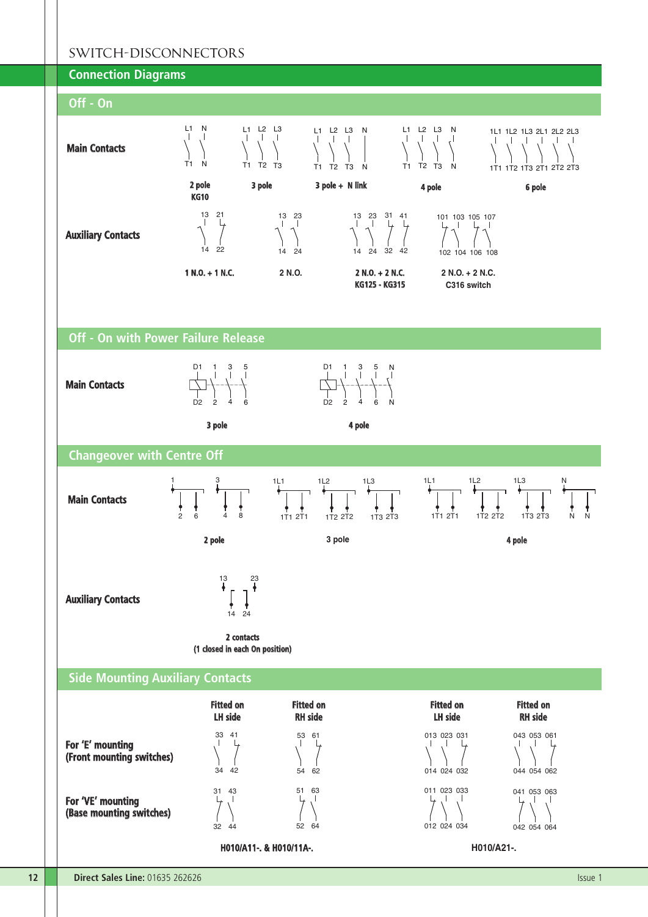## SWITCH-DISCONNECTORS



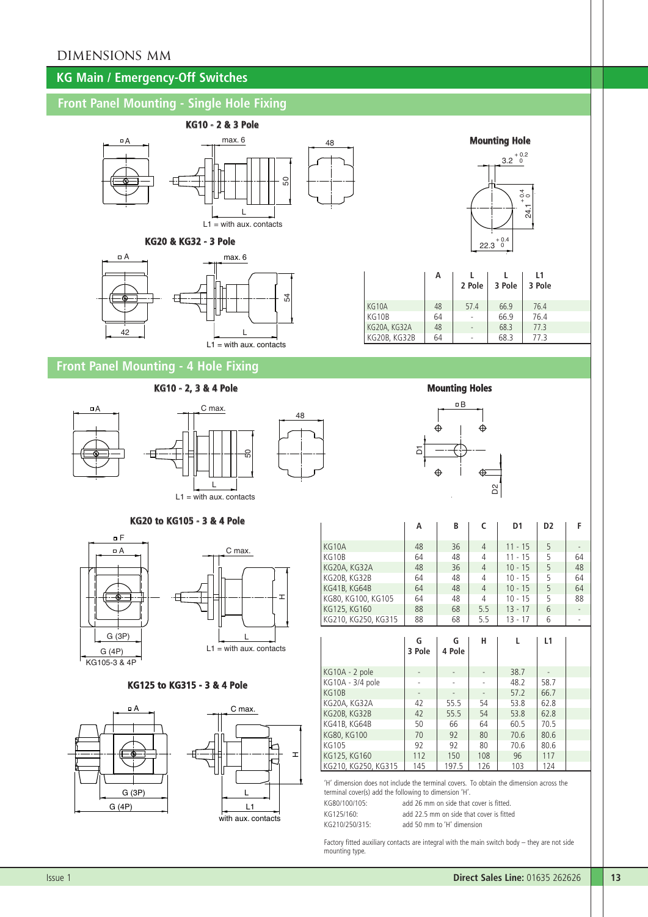# DIMENSIONS MM

# **KG Main / Emergency-Off Switches**

# **Front Panel Mounting - Single Hole Fixing**



#### **KG20 & KG32 - 3 Pole**



|              |    | 22.3   | $+0.4$<br>$\Omega$ | 24.1         |
|--------------|----|--------|--------------------|--------------|
|              | А  | 2 Pole | 3 Pole             | L1<br>3 Pole |
| KG10A        | 48 | 57.4   | 66.9               | 76.4         |
| KG10B        | 64 |        | 66.9               | 76.4         |
| KG20A, KG32A | 48 |        | 68.3               | 77.3         |
| KG20B, KG32B | 64 |        | 68.3               | 77.3         |

 $3.2^{+0.2}_{-0.2}$ 

**Mounting Hole**

 $\frac{4}{9}$  0

# **Front Panel Mounting - 4 Hole Fixing**

### **KG10 - 2, 3 & 4 Pole Mounting Holes**

48



## **KG20 to KG105 - 3 & 4 Pole**



### **KG125 to KG315 - 3 & 4 Pole**



|                                                                                                                                     | А      | В      | c   | D <sub>1</sub> | D <sub>2</sub> | F  |
|-------------------------------------------------------------------------------------------------------------------------------------|--------|--------|-----|----------------|----------------|----|
| KG10A                                                                                                                               | 48     | 36     | 4   | $11 - 15$      | 5              |    |
| KG10B                                                                                                                               | 64     | 48     | 4   | $11 - 15$      | 5              | 64 |
| KG20A, KG32A                                                                                                                        | 48     | 36     | 4   | $10 - 15$      | 5              | 48 |
| KG20B, KG32B                                                                                                                        | 64     | 48     | 4   | $10 - 15$      | 5              | 64 |
| KG41B, KG64B                                                                                                                        | 64     | 48     | 4   | $10 - 15$      | 5              | 64 |
| KG80, KG100, KG105                                                                                                                  | 64     | 48     | 4   | $10 - 15$      | 5              | 88 |
| KG125, KG160                                                                                                                        | 88     | 68     | 5.5 | $13 - 17$      | 6              |    |
| KG210, KG250, KG315                                                                                                                 | 88     | 68     | 5.5 | $13 - 17$      | 6              |    |
|                                                                                                                                     |        | G      | н   | L              | L1             |    |
|                                                                                                                                     | 3 Pole | 4 Pole |     |                |                |    |
|                                                                                                                                     |        |        |     |                |                |    |
|                                                                                                                                     |        |        |     | 38.7           |                |    |
|                                                                                                                                     |        |        |     | 48.2           | 58.7           |    |
|                                                                                                                                     |        |        |     | 57.2           | 66.7           |    |
|                                                                                                                                     | 42     | 55.5   | 54  | 53.8           | 62.8           |    |
|                                                                                                                                     | 42     | 55.5   | 54  | 53.8           | 62.8           |    |
|                                                                                                                                     | 50     | 66     | 64  | 60.5           | 70.5           |    |
|                                                                                                                                     | 70     | 92     | 80  | 70.6           | 80.6           |    |
|                                                                                                                                     | 92     | 92     | 80  | 70.6           | 80.6           |    |
| KG10A - 2 pole<br>KG10A - 3/4 pole<br>KG10B<br>KG20A, KG32A<br>KG20B, KG32B<br>KG41B, KG64B<br>KG80, KG100<br>KG105<br>KG125, KG160 | 112    | 150    | 108 | 96             | 117            |    |

'H' dimension does not include the terminal covers. To obtain the dimension across the terminal cover(s) add the following to dimension 'H'.

| KG80/100/105: | add 26 mm on side that cover is fitted.  |
|---------------|------------------------------------------|
| KG125/160:    | add 22.5 mm on side that cover is fitted |
| KG210/250/315 | add 50 mm to 'H' dimension               |

Factory fitted auxiliary contacts are integral with the main switch body – they are not side mounting type.

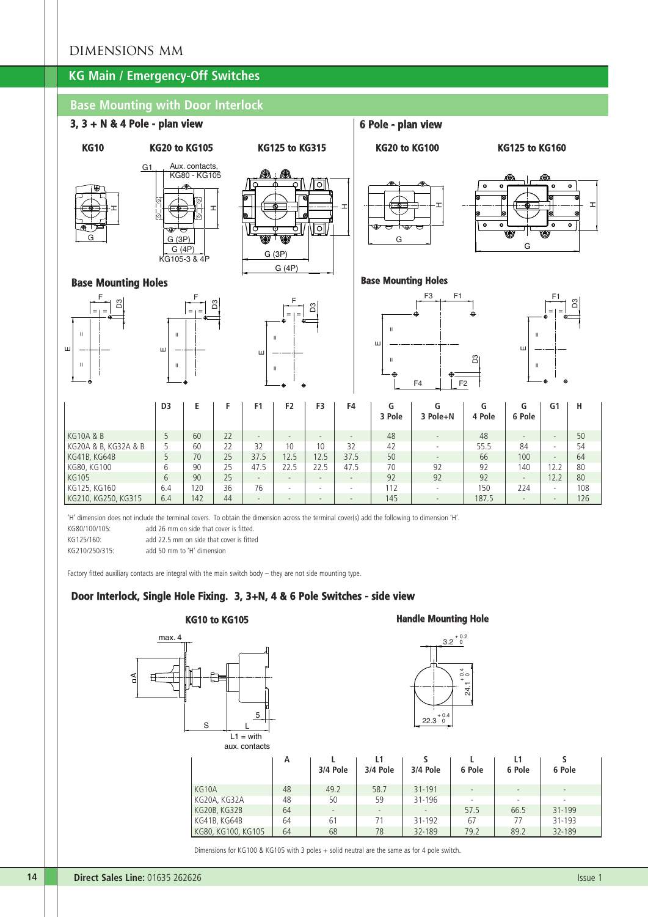## DIMENSIONS MM

# **KG Main / Emergency-Off Switches**

## **Base Mounting with Door Interlock**



'H' dimension does not include the terminal covers. To obtain the dimension across the terminal cover(s) add the following to dimension 'H'.

KG80/100/105: add 26 mm on side that cover is fitted.

KG125/160: add 22.5 mm on side that cover is fitted

KG210/250/315: add 50 mm to 'H' dimension

Factory fitted auxiliary contacts are integral with the main switch body – they are not side mounting type.

### **Door Interlock, Single Hole Fixing. 3, 3+N, 4 & 6 Pole Switches - side view**



**14 Direct Sales Line:** 01635 262626 **ISSUE 12.2 Contract Sales Line:** 01635 262626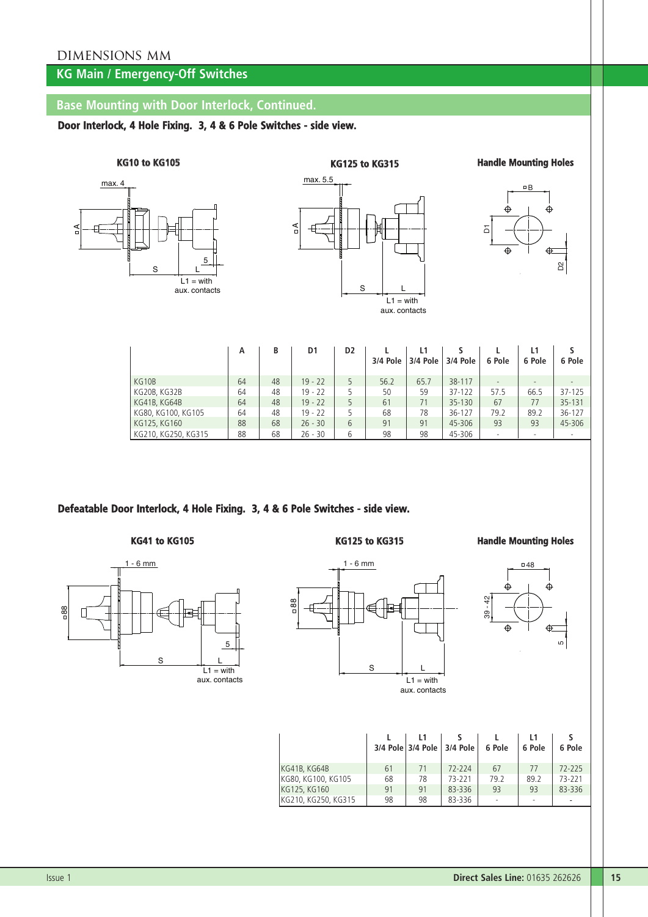# **KG Main / Emergency-Off Switches**

# **Base Mounting with Door Interlock, Continued.**

**Door Interlock, 4 Hole Fixing. 3, 4 & 6 Pole Switches - side view.**

**KG10 to KG105**





**KG125 to KG315 Handle Mounting Holes**



|                     | А  | В  | D <sub>1</sub> | D <sub>2</sub> | 3/4 Pole | 3/4 Pole | 3/4 Pole   | 6 Pole | L1<br>6 Pole | 6 Pole |
|---------------------|----|----|----------------|----------------|----------|----------|------------|--------|--------------|--------|
| KG10B               | 64 | 48 | $19 - 22$      | 5              | 56.2     | 65.7     | 38-117     |        |              |        |
| KG20B, KG32B        | 64 | 48 | $19 - 22$      | 5              | 50       | 59       | $37 - 122$ | 57.5   | 66.5         | 37-125 |
| KG41B, KG64B        | 64 | 48 | $19 - 22$      | 5              | 61       | 71       | 35-130     | 67     | 77           | 35-131 |
| KG80, KG100, KG105  | 64 | 48 | $19 - 22$      | 5              | 68       | 78       | 36-127     | 79.2   | 89.2         | 36-127 |
| KG125, KG160        | 88 | 68 | $26 - 30$      | 6              | 91       | 91       | 45-306     | 93     | 93           | 45-306 |
| KG210, KG250, KG315 | 88 | 68 | $26 - 30$      | 6              | 98       | 98       | 45-306     |        |              |        |

## **Defeatable Door Interlock, 4 Hole Fixing. 3, 4 & 6 Pole Switches - side view.**



### **KG41 to KG105 KG125 to KG315 Handle Mounting Holes**



aux. contacts



|                     |    |    | 3/4 Pole 3/4 Pole 3/4 Pole | 6 Pole | 6 Pole | 6 Pole |
|---------------------|----|----|----------------------------|--------|--------|--------|
| KG41B, KG64B        | 61 | 71 | 72-224                     | 67     | 77     | 72-225 |
| KG80, KG100, KG105  | 68 | 78 | 73-221                     | 79.2   | 89.2   | 73-221 |
| KG125, KG160        | 91 | 91 | 83-336                     | 93     | 93     | 83-336 |
| KG210, KG250, KG315 | 98 | 98 | 83-336                     | $\sim$ | ۰      |        |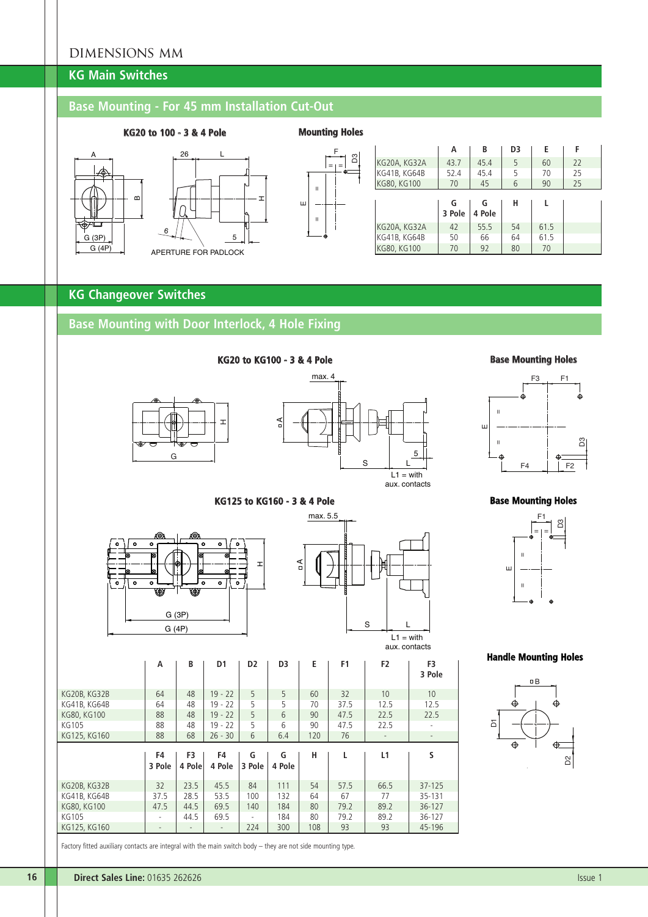# DIMENSIONS MM

# **KG Main Switches**

# **Base Mounting - For 45 mm Installation Cut-Out**

## **KG20 to 100 - 3 & 4 Pole Mounting Holes**









|              | А           | B           | D3 | E    | F  |  |
|--------------|-------------|-------------|----|------|----|--|
| KG20A, KG32A | 43.7        | 45.4        | 5  | 60   | 22 |  |
| KG41B, KG64B | 52.4        | 45.4        | 5  | 70   | 25 |  |
| KG80, KG100  | 70          | 45          | 6  | 90   | 25 |  |
|              |             |             |    |      |    |  |
|              | G<br>3 Pole | G<br>4 Pole | н  |      |    |  |
| KG20A, KG32A | 42          | 55.5        | 54 | 61.5 |    |  |
| KG41B, KG64B | 50          | 66          | 64 | 61.5 |    |  |

# **KG Changeover Switches**

# **Base Mounting with Door Interlock, 4 Hole Fixing**





max. 5.5

A

#### **Base Mounting Holes**



#### **KG125 to KG160 - 3 & 4 Pole**

**KG20 to KG100 - 3 & 4 Pole**





S L

5

 $L_1 = \text{with}$ aux. contacts

aux. contacts

|              | A            | B      | D1        | D <sub>2</sub> | D3     | Е   | F1   | F <sub>2</sub> | F3<br>3 Pole             |
|--------------|--------------|--------|-----------|----------------|--------|-----|------|----------------|--------------------------|
| KG20B, KG32B | 64           | 48     | $19 - 22$ | 5              | 5      | 60  | 32   | 10             | 10                       |
| KG41B, KG64B | 64           | 48     | $19 - 22$ | 5              | 5      | 70  | 37.5 | 12.5           | 12.5                     |
| KG80, KG100  | 88           | 48     | $19 - 22$ | 5              | 6      | 90  | 47.5 | 22.5           | 22.5                     |
| KG105        | 88           | 48     | $19 - 22$ | 5              | 6      | 90  | 47.5 | 22.5           | $\sim$                   |
| KG125, KG160 | 88           | 68     | $26 - 30$ | 6              | 6.4    | 120 | 76   |                | $\overline{\phantom{a}}$ |
|              | F4<br>3 Pole | F3     | F4        | G              | G      | н   | L    | L1             | S                        |
|              |              | 4 Pole | 4 Pole    | 3 Pole         | 4 Pole |     |      |                |                          |
| KG20B, KG32B | 32           | 23.5   | 45.5      | 84             | 111    | 54  | 57.5 | 66.5           | $37 - 125$               |
| KG41B, KG64B | 37.5         | 28.5   | 53.5      | 100            | 132    | 64  | 67   | 77             | 35-131                   |
| KG80, KG100  | 47.5         | 44.5   | 69.5      | 140            | 184    | 80  | 79.2 | 89.2           | $36 - 127$               |
| KG105        |              | 44.5   | 69.5      | ٠              | 184    | 80  | 79.2 | 89.2           | 36-127                   |

Factory fitted auxiliary contacts are integral with the main switch body – they are not side mounting type.

#### **Base Mounting Holes**



**Handle Mounting Holes**

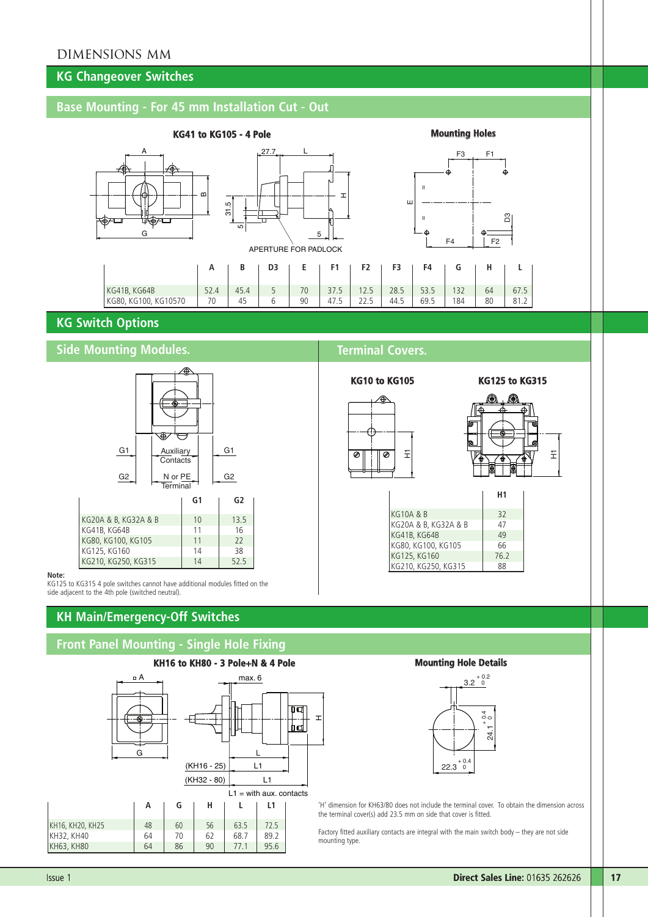# **KG Changeover Switches**

# **Base Mounting - For 45 mm Installation Cut - Out**







## **KG Switch Options**

## **Side Mounting Modules. Terminal Covers.**



#### **Note:**

KG125 to KG315 4 pole switches cannot have additional modules fitted on the side adjacent to the 4th pole (switched neutral).

# **KH Main/Emergency-Off Switches**

## **Front Panel Mounting - Single Hole Fixing**









| <b>KG10A &amp; B</b> | 32   |
|----------------------|------|
| KG20A & B, KG32A & B | 47   |
| KG41B, KG64B         | 49   |
| KG80, KG100, KG105   | 66   |
| KG125, KG160         | 76.2 |
| KG210, KG250, KG315  | 88   |

#### **Mounting Hole Details**



'H' dimension for KH63/80 does not include the terminal cover. To obtain the dimension across the terminal cover(s) add 23.5 mm on side that cover is fitted.

Factory fitted auxiliary contacts are integral with the main switch body – they are not side mounting type.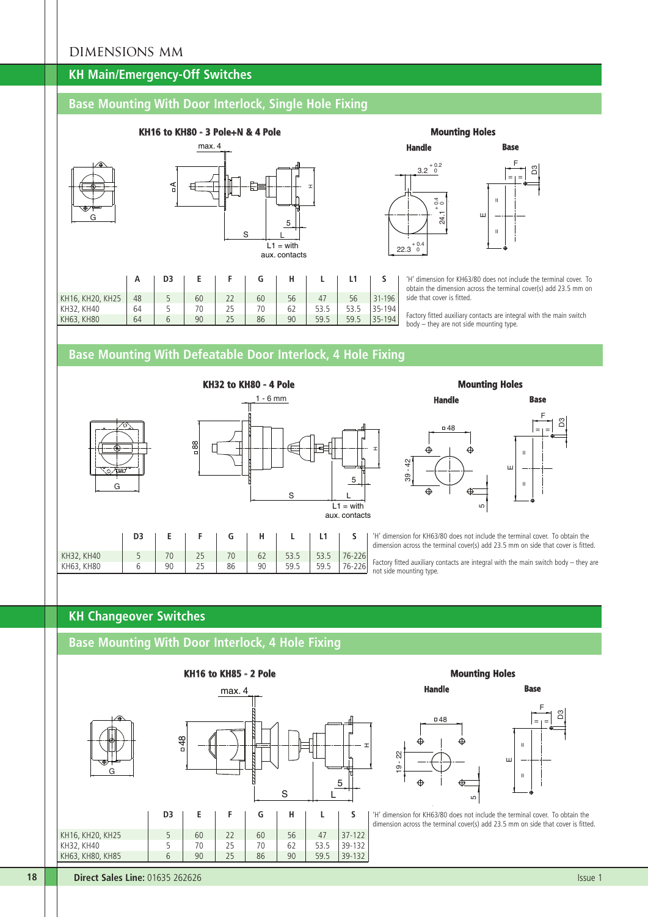## **KH Main/Emergency-Off Switches**

# **Base Mounting With Door Interlock, Single Hole Fixing**



#### **Mounting Holes**





'H' dimension for KH63/80 does not include the terminal cover. To obtain the dimension across the terminal cover(s) add 23.5 mm on side that cover is fitted.

Factory fitted auxiliary contacts are integral with the main switch body – they are not side mounting type.





### **Mounting Holes**



'H' dimension for KH63/80 does not include the terminal cover. To obtain the dimension across the terminal cover(s) add 23.5 mm on side that cover is fitted.

Factory fitted auxiliary contacts are integral with the main switch body – they are not side mounting type.

# **KH Changeover Switches**

KH63, KH80 6 90 25 86

## **Base Mounting With Door Interlock, 4 Hole Fixing**

KH32, KH40 5 70 25 70 62 53.5 53.5 76-226<br>KH63, KH80 6 90 25 86 90 59.5 59.5 76-226





### **Mounting Holes**

**Handle**



'H' dimension for KH63/80 does not include the terminal cover. To obtain the dimension across the terminal cover(s) add 23.5 mm on side that cover is fitted.